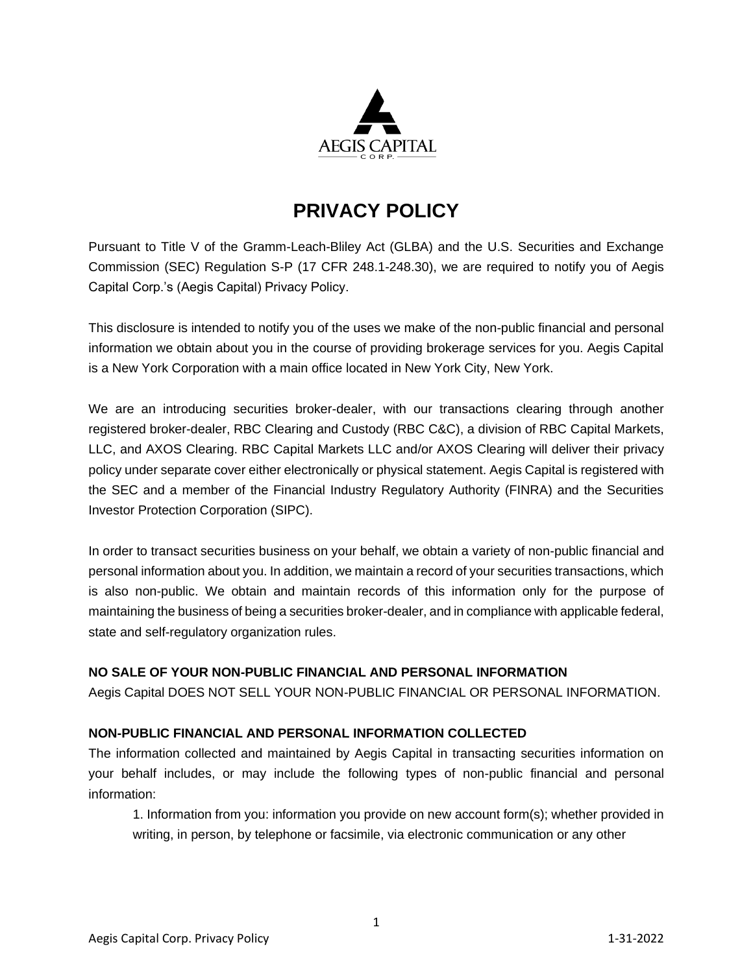

# **PRIVACY POLICY**

Pursuant to Title V of the Gramm-Leach-Bliley Act (GLBA) and the U.S. Securities and Exchange Commission (SEC) Regulation S-P (17 CFR 248.1-248.30), we are required to notify you of Aegis Capital Corp.'s (Aegis Capital) Privacy Policy.

This disclosure is intended to notify you of the uses we make of the non-public financial and personal information we obtain about you in the course of providing brokerage services for you. Aegis Capital is a New York Corporation with a main office located in New York City, New York.

We are an introducing securities broker-dealer, with our transactions clearing through another registered broker-dealer, RBC Clearing and Custody (RBC C&C), a division of RBC Capital Markets, LLC, and AXOS Clearing. RBC Capital Markets LLC and/or AXOS Clearing will deliver their privacy policy under separate cover either electronically or physical statement. Aegis Capital is registered with the SEC and a member of the Financial Industry Regulatory Authority (FINRA) and the Securities Investor Protection Corporation (SIPC).

In order to transact securities business on your behalf, we obtain a variety of non-public financial and personal information about you. In addition, we maintain a record of your securities transactions, which is also non-public. We obtain and maintain records of this information only for the purpose of maintaining the business of being a securities broker-dealer, and in compliance with applicable federal, state and self-regulatory organization rules.

### **NO SALE OF YOUR NON-PUBLIC FINANCIAL AND PERSONAL INFORMATION**

Aegis Capital DOES NOT SELL YOUR NON-PUBLIC FINANCIAL OR PERSONAL INFORMATION.

### **NON-PUBLIC FINANCIAL AND PERSONAL INFORMATION COLLECTED**

The information collected and maintained by Aegis Capital in transacting securities information on your behalf includes, or may include the following types of non-public financial and personal information:

1. Information from you: information you provide on new account form(s); whether provided in writing, in person, by telephone or facsimile, via electronic communication or any other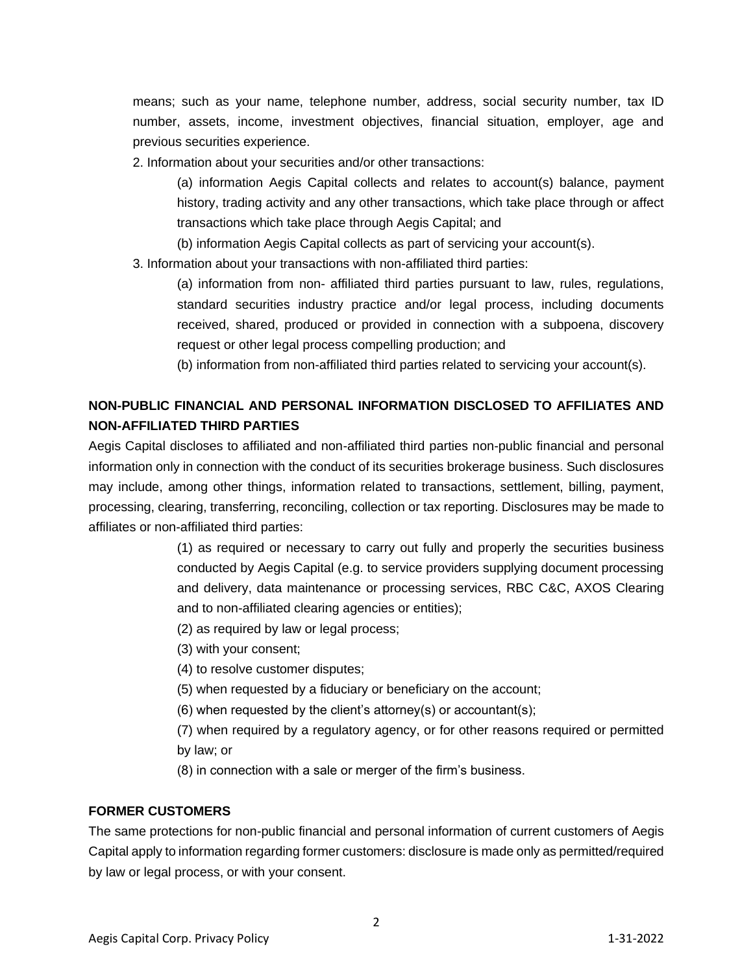means; such as your name, telephone number, address, social security number, tax ID number, assets, income, investment objectives, financial situation, employer, age and previous securities experience.

2. Information about your securities and/or other transactions:

(a) information Aegis Capital collects and relates to account(s) balance, payment history, trading activity and any other transactions, which take place through or affect transactions which take place through Aegis Capital; and

(b) information Aegis Capital collects as part of servicing your account(s).

3. Information about your transactions with non-affiliated third parties:

(a) information from non- affiliated third parties pursuant to law, rules, regulations, standard securities industry practice and/or legal process, including documents received, shared, produced or provided in connection with a subpoena, discovery request or other legal process compelling production; and

(b) information from non-affiliated third parties related to servicing your account(s).

# **NON-PUBLIC FINANCIAL AND PERSONAL INFORMATION DISCLOSED TO AFFILIATES AND NON-AFFILIATED THIRD PARTIES**

Aegis Capital discloses to affiliated and non-affiliated third parties non-public financial and personal information only in connection with the conduct of its securities brokerage business. Such disclosures may include, among other things, information related to transactions, settlement, billing, payment, processing, clearing, transferring, reconciling, collection or tax reporting. Disclosures may be made to affiliates or non-affiliated third parties:

> (1) as required or necessary to carry out fully and properly the securities business conducted by Aegis Capital (e.g. to service providers supplying document processing and delivery, data maintenance or processing services, RBC C&C, AXOS Clearing and to non-affiliated clearing agencies or entities);

- (2) as required by law or legal process;
- (3) with your consent;
- (4) to resolve customer disputes;
- (5) when requested by a fiduciary or beneficiary on the account;
- (6) when requested by the client's attorney(s) or accountant(s);
- (7) when required by a regulatory agency, or for other reasons required or permitted by law; or
- (8) in connection with a sale or merger of the firm's business.

### **FORMER CUSTOMERS**

The same protections for non-public financial and personal information of current customers of Aegis Capital apply to information regarding former customers: disclosure is made only as permitted/required by law or legal process, or with your consent.